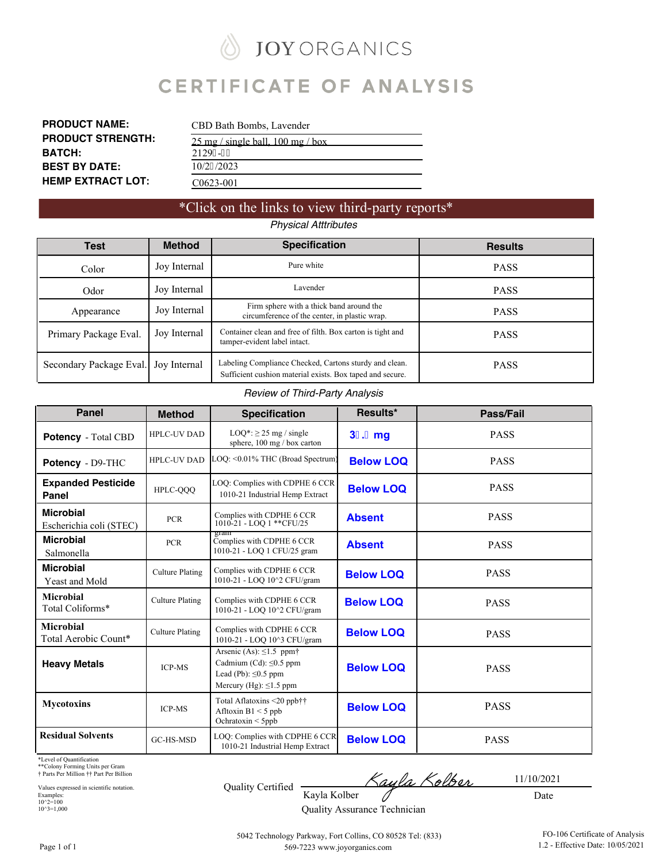**JOY ORGANICS** Ñ

# **CERTIFICATE OF ANALYSIS**

| <b>PRODUCT NAME:</b>     | CBD Bath Bombs, Lavender                              |
|--------------------------|-------------------------------------------------------|
| <b>PRODUCT STRENGTH:</b> | $25 \text{ mg}$ / single ball, $100 \text{ mg}$ / box |
| <b>BATCH:</b>            | 21296-29                                              |
| <b>BEST BY DATE:</b>     | 10/27/2023                                            |
| <b>HEMP EXTRACT LOT:</b> | C <sub>0623</sub> -001                                |

### \*Click on the links to view third-party reports\*

### *Physical Atttributes*

| Test                    | <b>Method</b> | <b>Specification</b>                                                                                                | <b>Results</b> |
|-------------------------|---------------|---------------------------------------------------------------------------------------------------------------------|----------------|
| Color                   | Joy Internal  | Pure white                                                                                                          | <b>PASS</b>    |
| Odor                    | Joy Internal  | Lavender                                                                                                            | <b>PASS</b>    |
| Appearance              | Joy Internal  | Firm sphere with a thick band around the<br>circumference of the center, in plastic wrap.                           | <b>PASS</b>    |
| Primary Package Eval.   | Joy Internal  | Container clean and free of filth. Box carton is tight and<br>tamper-evident label intact.                          | <b>PASS</b>    |
| Secondary Package Eval. | Joy Internal  | Labeling Compliance Checked, Cartons sturdy and clean.<br>Sufficient cushion material exists. Box taped and secure. | <b>PASS</b>    |

#### *Review of Third-Party Analysis*

| <b>Panel</b>                                | <b>Method</b>          | <b>Specification</b>                                                                                                       | Results*         | Pass/Fail   |
|---------------------------------------------|------------------------|----------------------------------------------------------------------------------------------------------------------------|------------------|-------------|
| <b>Potency</b> - Total CBD                  | <b>HPLC-UV DAD</b>     | $LOO^*$ : $\geq$ 25 mg / single<br>sphere, 100 mg / box carton                                                             | 3,.,mg           | <b>PASS</b> |
| Potency - D9-THC                            | <b>HPLC-UV DAD</b>     | LOQ: < 0.01% THC (Broad Spectrum)                                                                                          | <b>Below LOQ</b> | <b>PASS</b> |
| <b>Expanded Pesticide</b><br>Panel          | HPLC-QQQ               | LOQ: Complies with CDPHE 6 CCR<br>1010-21 Industrial Hemp Extract                                                          | <b>Below LOQ</b> | <b>PASS</b> |
| <b>Microbial</b><br>Escherichia coli (STEC) | <b>PCR</b>             | Complies with CDPHE 6 CCR<br>1010-21 - LOQ 1 ** CFU/25                                                                     | <b>Absent</b>    | <b>PASS</b> |
| <b>Microbial</b><br>Salmonella              | <b>PCR</b>             | gram<br>Complies with CDPHE 6 CCR<br>1010-21 - LOQ 1 CFU/25 gram                                                           | <b>Absent</b>    | <b>PASS</b> |
| <b>Microbial</b><br>Yeast and Mold          | <b>Culture Plating</b> | Complies with CDPHE 6 CCR<br>1010-21 - LOQ 10^2 CFU/gram                                                                   | <b>Below LOQ</b> | <b>PASS</b> |
| <b>Microbial</b><br>Total Coliforms*        | <b>Culture Plating</b> | Complies with CDPHE 6 CCR<br>1010-21 - LOQ 10^2 CFU/gram                                                                   | <b>Below LOO</b> | <b>PASS</b> |
| <b>Microbial</b><br>Total Aerobic Count*    | <b>Culture Plating</b> | Complies with CDPHE 6 CCR<br>1010-21 - LOQ 10^3 CFU/gram                                                                   | <b>Below LOQ</b> | <b>PASS</b> |
| <b>Heavy Metals</b>                         | <b>ICP-MS</b>          | Arsenic (As): $\leq$ 1.5 ppm†<br>Cadmium (Cd): $\leq 0.5$ ppm<br>Lead (Pb): $\leq 0.5$ ppm<br>Mercury (Hg): $\leq$ 1.5 ppm | <b>Below LOQ</b> | <b>PASS</b> |
| <b>Mycotoxins</b>                           | <b>ICP-MS</b>          | Total Aflatoxins <20 ppb††<br>Afltoxin $B1 < 5$ ppb<br>Ochratoxin < 5ppb                                                   | <b>Below LOQ</b> | <b>PASS</b> |
| <b>Residual Solvents</b>                    | GC-HS-MSD              | LOQ: Complies with CDPHE 6 CCR<br>1010-21 Industrial Hemp Extract                                                          | <b>Below LOQ</b> | <b>PASS</b> |

\*Level of Quantification

\*\*Colony Forming Units per Gram † Parts Per Million †† Part Per Billion

Values expressed in scientific notation. Examples: 10^2=100 10^3=1,000

<u>Kayla Kolber</u> Quality Certified Kayla Kolber 0

11/10/2021

Quality Assurance Technician

Date

Page 1 of 1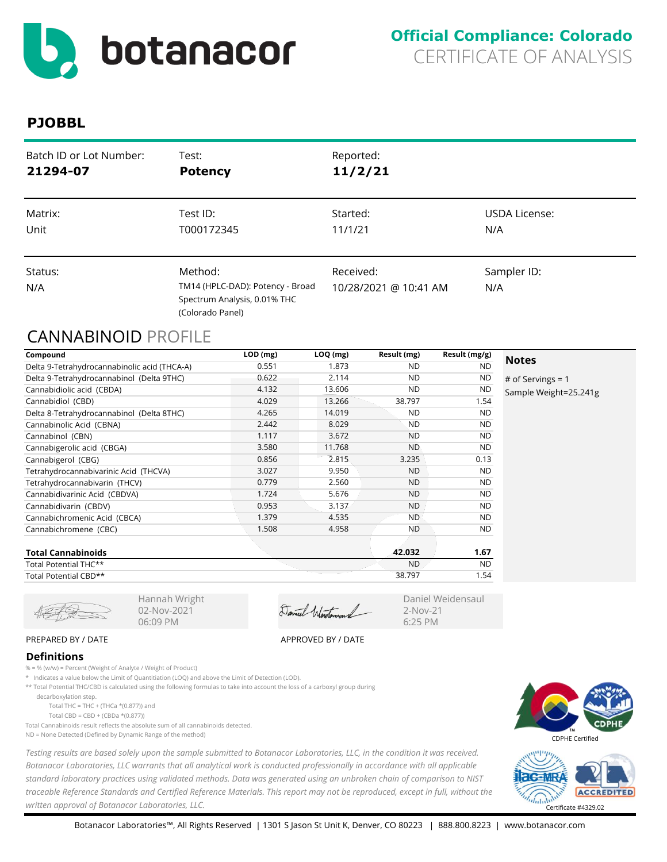<span id="page-1-0"></span>

| Batch ID or Lot Number: | Test:                                                                                           | Reported:                          |                    |
|-------------------------|-------------------------------------------------------------------------------------------------|------------------------------------|--------------------|
| 21294-07                | <b>Potency</b>                                                                                  | 11/2/21                            |                    |
| Matrix:                 | Test ID:                                                                                        | Started:                           | USDA License:      |
| Unit                    | T000172345                                                                                      | 11/1/21                            | N/A                |
| Status:<br>N/A          | Method:<br>TM14 (HPLC-DAD): Potency - Broad<br>Spectrum Analysis, 0.01% THC<br>(Colorado Panel) | Received:<br>10/28/2021 @ 10:41 AM | Sampler ID:<br>N/A |

# CANNABINOID PROFILE

| Compound                                     | $LOD$ (mg) | $LOQ$ (mg) | Result (mg) | Result (mg/g) |                       |
|----------------------------------------------|------------|------------|-------------|---------------|-----------------------|
| Delta 9-Tetrahydrocannabinolic acid (THCA-A) | 0.551      | 1.873      | ND.         | <b>ND</b>     | <b>Notes</b>          |
| Delta 9-Tetrahydrocannabinol (Delta 9THC)    | 0.622      | 2.114      | <b>ND</b>   | ND            | # of Servings = $1$   |
| Cannabidiolic acid (CBDA)                    | 4.132      | 13.606     | <b>ND</b>   | <b>ND</b>     | Sample Weight=25.241g |
| Cannabidiol (CBD)                            | 4.029      | 13.266     | 38.797      | 1.54          |                       |
| Delta 8-Tetrahydrocannabinol (Delta 8THC)    | 4.265      | 14.019     | <b>ND</b>   | ND.           |                       |
| Cannabinolic Acid (CBNA)                     | 2.442      | 8.029      | <b>ND</b>   | <b>ND</b>     |                       |
| Cannabinol (CBN)                             | 1.117      | 3.672      | <b>ND</b>   | <b>ND</b>     |                       |
| Cannabigerolic acid (CBGA)                   | 3.580      | 11.768     | <b>ND</b>   | <b>ND</b>     |                       |
| Cannabigerol (CBG)                           | 0.856      | 2.815      | 3.235       | 0.13          |                       |
| Tetrahydrocannabivarinic Acid (THCVA)        | 3.027      | 9.950      | <b>ND</b>   | <b>ND</b>     |                       |
| Tetrahydrocannabivarin (THCV)                | 0.779      | 2.560      | <b>ND</b>   | <b>ND</b>     |                       |
| Cannabidivarinic Acid (CBDVA)                | 1.724      | 5.676      | <b>ND</b>   | <b>ND</b>     |                       |
| Cannabidivarin (CBDV)                        | 0.953      | 3.137      | <b>ND</b>   | <b>ND</b>     |                       |
| Cannabichromenic Acid (CBCA)                 | 1.379      | 4.535      | <b>ND</b>   | <b>ND</b>     |                       |
| Cannabichromene (CBC)                        | 1.508      | 4.958      | <b>ND</b>   | ND.           |                       |
| Tatal Camadalactica                          |            |            | 12.022      | 107           |                       |

| Total Cannabinoids    | 42.032    | . ه.      |
|-----------------------|-----------|-----------|
| Total Potential THC** | <b>ND</b> | <b>ND</b> |
| Total Potential CBD** | 38.797    | -54       |

Hannah Wright 02-Nov-2021 06:09 PM

Daniel Westerand

#### Daniel Weidensaul 2-Nov-21 6:25 PM

### PREPARED BY / DATE APPROVED BY / DATE

#### **Definitions**

- % = % (w/w) = Percent (Weight of Analyte / Weight of Product)
- \* Indicates a value below the Limit of Quantitiation (LOQ) and above the Limit of Detection (LOD).
- \*\* Total Potential THC/CBD is calculated using the following formulas to take into account the loss of a carboxyl group during
	- decarboxylation step.
		- Total THC = THC + (THCa  $*(0.877)$ ) and
		- Total CBD = CBD + (CBDa \*(0.877))
- Total Cannabinoids result reflects the absolute sum of all cannabinoids detected. ND = None Detected (Defined by Dynamic Range of the method)

*Testing results are based solely upon the sample submitted to Botanacor Laboratories, LLC, in the condition it was received. Botanacor Laboratories, LLC warrants that all analytical work is conducted professionally in accordance with all applicable standard laboratory practices using validated methods. Data was generated using an unbroken chain of comparison to NIST traceable Reference Standards and Certified Reference Materials. This report may not be reproduced, except in full, without the written approval of Botanacor Laboratories, LLC.* Certificate #4329.02



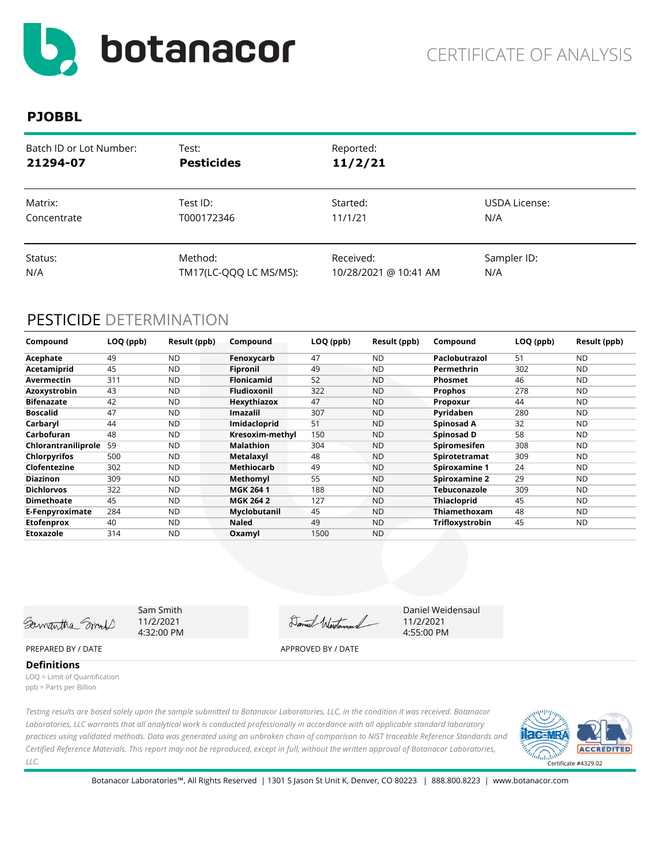

| Batch ID or Lot Number: | Test:                  | Reported:             |               |
|-------------------------|------------------------|-----------------------|---------------|
| 21294-07                | <b>Pesticides</b>      | 11/2/21               |               |
| Matrix:                 | Test ID:               | Started:              | USDA License: |
| Concentrate             | T000172346             | 11/1/21               | N/A           |
| Status:                 | Method:                | Received:             | Sampler ID:   |
| N/A                     | TM17(LC-QQQ LC MS/MS): | 10/28/2021 @ 10:41 AM | N/A           |

# PESTICIDE DETERMINATION

| Compound            | LOQ (ppb) | Result (ppb) | Compound           | LOQ (ppb) | Result (ppb) | Compound             | LOQ (ppb) | Result (ppb) |
|---------------------|-----------|--------------|--------------------|-----------|--------------|----------------------|-----------|--------------|
| Acephate            | 49        | <b>ND</b>    | Fenoxycarb         | 47        | <b>ND</b>    | Paclobutrazol        | 51        | <b>ND</b>    |
| Acetamiprid         | 45        | <b>ND</b>    | Fipronil           | 49        | <b>ND</b>    | Permethrin           | 302       | <b>ND</b>    |
| Avermectin          | 311       | <b>ND</b>    | <b>Flonicamid</b>  | 52        | <b>ND</b>    | <b>Phosmet</b>       | 46        | <b>ND</b>    |
| Azoxystrobin        | 43        | <b>ND</b>    | <b>Fludioxonil</b> | 322       | <b>ND</b>    | <b>Prophos</b>       | 278       | <b>ND</b>    |
| <b>Bifenazate</b>   | 42        | <b>ND</b>    | Hexythiazox        | 47        | <b>ND</b>    | Propoxur             | 44        | <b>ND</b>    |
| <b>Boscalid</b>     | 47        | <b>ND</b>    | <b>Imazalil</b>    | 307       | <b>ND</b>    | Pyridaben            | 280       | <b>ND</b>    |
| Carbaryl            | 44        | <b>ND</b>    | Imidacloprid       | 51        | <b>ND</b>    | Spinosad A           | 32        | <b>ND</b>    |
| Carbofuran          | 48        | <b>ND</b>    | Kresoxim-methyl    | 150       | <b>ND</b>    | Spinosad D           | 58        | <b>ND</b>    |
| Chlorantraniliprole | 59        | <b>ND</b>    | <b>Malathion</b>   | 304       | <b>ND</b>    | <b>Spiromesifen</b>  | 308       | <b>ND</b>    |
| <b>Chlorpyrifos</b> | 500       | <b>ND</b>    | Metalaxyl          | 48        | <b>ND</b>    | Spirotetramat        | 309       | <b>ND</b>    |
| Clofentezine        | 302       | <b>ND</b>    | Methiocarb         | 49        | <b>ND</b>    | <b>Spiroxamine 1</b> | 24        | <b>ND</b>    |
| <b>Diazinon</b>     | 309       | <b>ND</b>    | Methomyl           | 55        | <b>ND</b>    | <b>Spiroxamine 2</b> | 29        | <b>ND</b>    |
| <b>Dichlorvos</b>   | 322       | <b>ND</b>    | <b>MGK 2641</b>    | 188       | <b>ND</b>    | Tebuconazole         | 309       | <b>ND</b>    |
| <b>Dimethoate</b>   | 45        | <b>ND</b>    | <b>MGK 264 2</b>   | 127       | <b>ND</b>    | <b>Thiacloprid</b>   | 45        | <b>ND</b>    |
| E-Fenpyroximate     | 284       | <b>ND</b>    | Myclobutanil       | 45        | <b>ND</b>    | Thiamethoxam         | 48        | ND           |
| <b>Etofenprox</b>   | 40        | <b>ND</b>    | <b>Naled</b>       | 49        | <b>ND</b>    | Trifloxystrobin      | 45        | ND           |
| Etoxazole           | 314       | <b>ND</b>    | Oxamyl             | 1500      | <b>ND</b>    |                      |           |              |

Samantha Smil

Sam Smith 11/2/2021 4:32:00 PM

Daniel Western

Daniel Weidensaul 11/2/2021 4:55:00 PM

### PREPARED BY / DATE APPROVED BY / DATE

**Definitions**

LOQ = Limit of Quantification ppb = Parts per Billion

*Testing results are based solely upon the sample submitted to Botanacor Laboratories, LLC, in the condition it was received. Botanacor Laboratories, LLC warrants that all analytical work is conducted professionally in accordance with all applicable standard laboratory practices using validated methods. Data was generated using an unbroken chain of comparison to NIST traceable Reference Standards and Certified Reference Materials. This report may not be reproduced, except in full, without the written approval of Botanacor Laboratories, LLC.* 

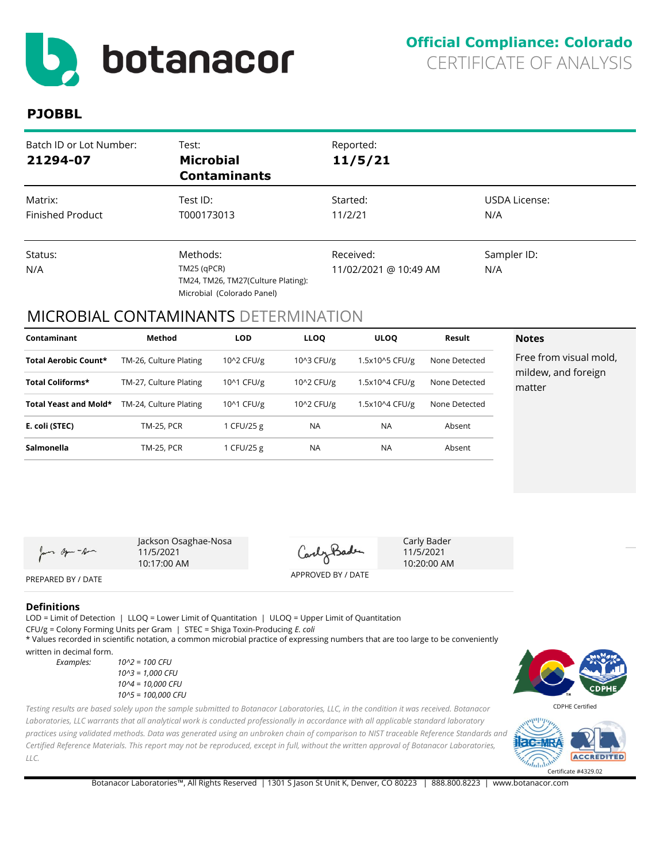<span id="page-3-0"></span>

| Batch ID or Lot Number:<br>21294-07 | Test:<br><b>Microbial</b><br><b>Contaminants</b>                                              | Reported:<br>11/5/21               |                      |
|-------------------------------------|-----------------------------------------------------------------------------------------------|------------------------------------|----------------------|
| Matrix:<br><b>Finished Product</b>  | Test ID:<br>T000173013                                                                        | Started:<br>11/2/21                | USDA License:<br>N/A |
| Status:<br>N/A                      | Methods:<br>$TM25$ (qPCR)<br>TM24, TM26, TM27(Culture Plating):<br>Microbial (Colorado Panel) | Received:<br>11/02/2021 @ 10:49 AM | Sampler ID:<br>N/A   |

### MICROBIAL CONTAMINANTS DETERMINATION

| Contaminant                 | Method                 | <b>LOD</b> | <b>LLOQ</b> | <b>ULOO</b>    | Result        | <b>Notes</b>                  |
|-----------------------------|------------------------|------------|-------------|----------------|---------------|-------------------------------|
| <b>Total Aerobic Count*</b> | TM-26, Culture Plating | 10^2 CFU/g | 10^3 CFU/g  | 1.5x10^5 CFU/g | None Detected | Free from visual mold,        |
| Total Coliforms*            | TM-27, Culture Plating | 10^1 CFU/g | 10^2 CFU/g  | 1.5x10^4 CFU/g | None Detected | mildew, and foreign<br>matter |
| Total Yeast and Mold*       | TM-24, Culture Plating | 10^1 CFU/g | 10^2 CFU/g  | 1.5x10^4 CFU/g | None Detected |                               |
| E. coli (STEC)              | <b>TM-25, PCR</b>      | 1 CFU/25 g | <b>NA</b>   | <b>NA</b>      | Absent        |                               |
| Salmonella                  | <b>TM-25, PCR</b>      | 1 CFU/25 g | <b>NA</b>   | <b>NA</b>      | Absent        |                               |

Jan age - Am

Jackson Osaghae-Nosa 11/5/2021 10:17:00 AM

CarlyBade

APPROVED BY / DATE

Carly Bader 11/5/2021 10:20:00 AM

PREPARED BY / DATE

#### **Definitions**

*LLC.* 

LOD = Limit of Detection | LLOQ = Lower Limit of Quantitation | ULOQ = Upper Limit of Quantitation CFU/g = Colony Forming Units per Gram | STEC = Shiga Toxin-Producing *E. coli* \* Values recorded in scientific notation, a common microbial practice of expressing numbers that are too large to be conveniently

written in decimal form.

*Examples: 10^2 = 100 CFU 10^3 = 1,000 CFU 10^4 = 10,000 CFU 10^5 = 100,000 CFU* CDPHE Certified

-125 **ACCREDITED**  $ln \ln$ Certificate #4329.02

*Laboratories, LLC warrants that all analytical work is conducted professionally in accordance with all applicable standard laboratory practices using validated methods. Data was generated using an unbroken chain of comparison to NIST traceable Reference Standards and Certified Reference Materials. This report may not be reproduced, except in full, without the written approval of Botanacor Laboratories,* 

*Testing results are based solely upon the sample submitted to Botanacor Laboratories, LLC, in the condition it was received. Botanacor* 

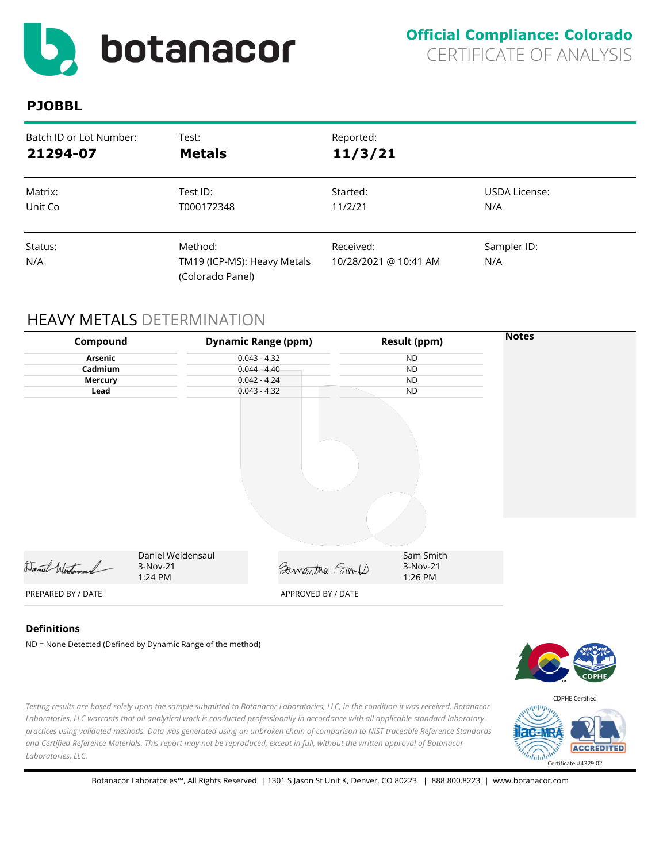<span id="page-4-0"></span>

| Batch ID or Lot Number: | Test:                                                      | Reported:                          |                    |
|-------------------------|------------------------------------------------------------|------------------------------------|--------------------|
| 21294-07                | <b>Metals</b>                                              | 11/3/21                            |                    |
| Matrix:                 | Test ID:                                                   | Started:                           | USDA License:      |
| Unit Co                 | T000172348                                                 | 11/2/21                            | N/A                |
| Status:<br>N/A          | Method:<br>TM19 (ICP-MS): Heavy Metals<br>(Colorado Panel) | Received:<br>10/28/2021 @ 10:41 AM | Sampler ID:<br>N/A |

# HEAVY METALS DETERMINATION

| Compound           |                                          | <b>Dynamic Range (ppm)</b> | <b>Result (ppm)</b>              | <b>Notes</b> |
|--------------------|------------------------------------------|----------------------------|----------------------------------|--------------|
| Arsenic            |                                          | $0.043 - 4.32$             | <b>ND</b>                        |              |
| Cadmium            |                                          | $0.044 - 4.40$             | <b>ND</b>                        |              |
| <b>Mercury</b>     |                                          | $0.042 - 4.24$             | <b>ND</b>                        |              |
| Lead               |                                          | $0.043 - 4.32$             | <b>ND</b>                        |              |
|                    |                                          |                            |                                  |              |
|                    |                                          |                            |                                  |              |
| Daniel Wertoward   | Daniel Weidensaul<br>3-Nov-21<br>1:24 PM | Samantha Smoot             | Sam Smith<br>3-Nov-21<br>1:26 PM |              |
| PREPARED BY / DATE |                                          | APPROVED BY / DATE         |                                  |              |
|                    |                                          |                            |                                  |              |

#### **Definitions**

ND = None Detected (Defined by Dynamic Range of the method)



*Testing results are based solely upon the sample submitted to Botanacor Laboratories, LLC, in the condition it was received. Botanacor Laboratories, LLC warrants that all analytical work is conducted professionally in accordance with all applicable standard laboratory practices using validated methods. Data was generated using an unbroken chain of comparison to NIST traceable Reference Standards and Certified Reference Materials. This report may not be reproduced, except in full, without the written approval of Botanacor Laboratories, LLC.* 

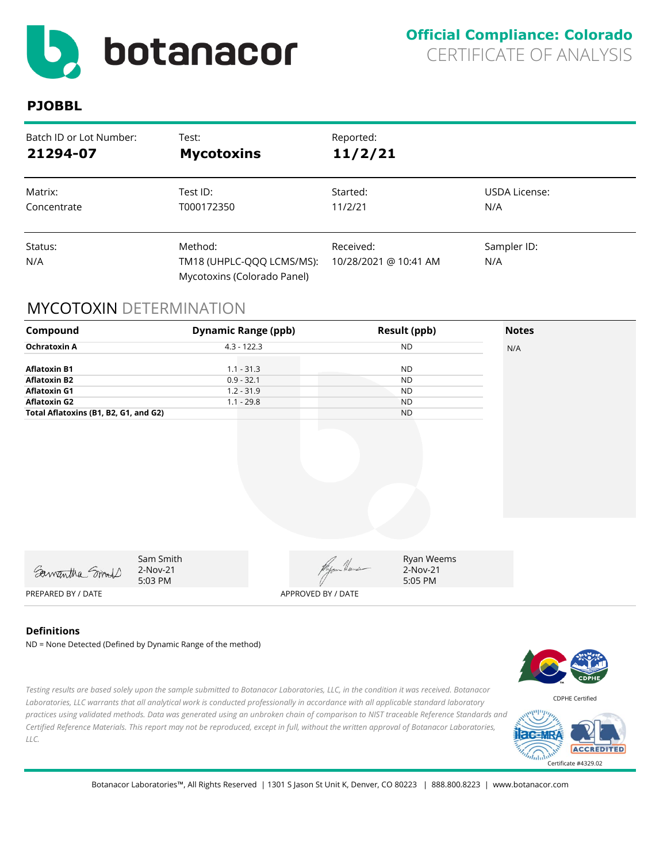<span id="page-5-0"></span>

| Batch ID or Lot Number: | Test:                                                               | Reported:                          |                    |
|-------------------------|---------------------------------------------------------------------|------------------------------------|--------------------|
| 21294-07                | <b>Mycotoxins</b>                                                   | 11/2/21                            |                    |
| Matrix:                 | Test ID:                                                            | Started:                           | USDA License:      |
| Concentrate             | T000172350                                                          | 11/2/21                            | N/A                |
| Status:<br>N/A          | Method:<br>TM18 (UHPLC-QQQ LCMS/MS):<br>Mycotoxins (Colorado Panel) | Received:<br>10/28/2021 @ 10:41 AM | Sampler ID:<br>N/A |

# MYCOTOXIN DETERMINATION

| Compound                                                                                                                          | <b>Dynamic Range (ppb)</b>                                   |                    | <b>Result (ppb)</b>                                           | <b>Notes</b> |
|-----------------------------------------------------------------------------------------------------------------------------------|--------------------------------------------------------------|--------------------|---------------------------------------------------------------|--------------|
| <b>Ochratoxin A</b>                                                                                                               | $4.3 - 122.3$                                                |                    | <b>ND</b>                                                     | N/A          |
| <b>Aflatoxin B1</b><br><b>Aflatoxin B2</b><br><b>Aflatoxin G1</b><br><b>Aflatoxin G2</b><br>Total Aflatoxins (B1, B2, G1, and G2) | $1.1 - 31.3$<br>$0.9 - 32.1$<br>$1.2 - 31.9$<br>$1.1 - 29.8$ |                    | <b>ND</b><br><b>ND</b><br><b>ND</b><br><b>ND</b><br><b>ND</b> |              |
| Samantha Smort                                                                                                                    | Sam Smith<br>2-Nov-21<br>5:03 PM                             | Myon Heus          | Ryan Weems<br>2-Nov-21<br>5:05 PM                             |              |
| PREPARED BY / DATE                                                                                                                |                                                              | APPROVED BY / DATE |                                                               |              |

### **Definitions**

ND = None Detected (Defined by Dynamic Range of the method)

*Testing results are based solely upon the sample submitted to Botanacor Laboratories, LLC, in the condition it was received. Botanacor Laboratories, LLC warrants that all analytical work is conducted professionally in accordance with all applicable standard laboratory practices using validated methods. Data was generated using an unbroken chain of comparison to NIST traceable Reference Standards and Certified Reference Materials. This report may not be reproduced, except in full, without the written approval of Botanacor Laboratories, LLC.*